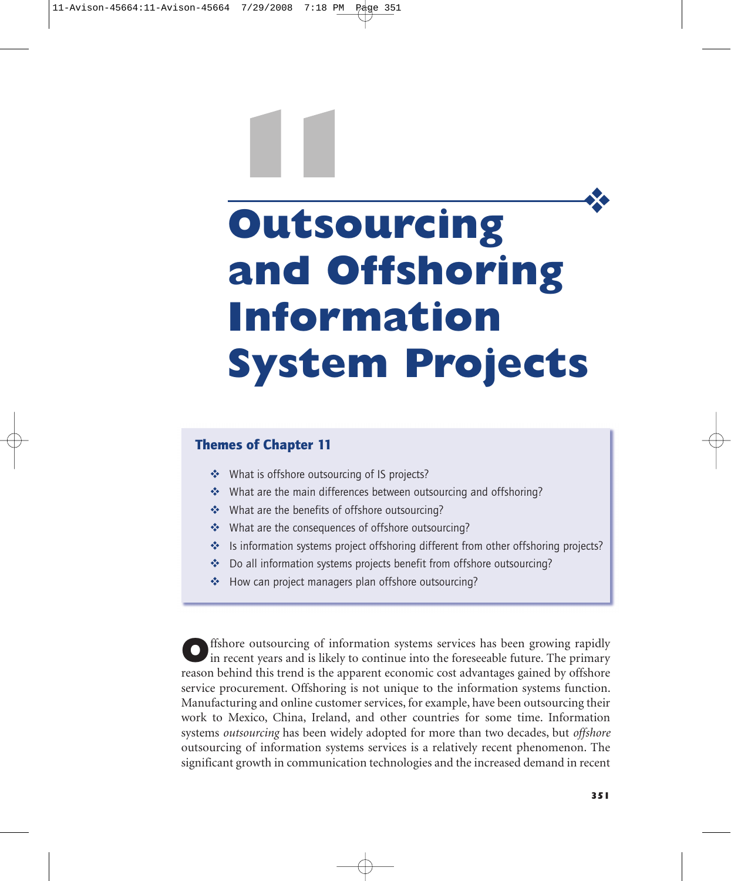# **11 Outsourcing and Offshoring Information System Projects** ❖

# **Themes of Chapter 11**

- ◆ What is offshore outsourcing of IS projects?
- What are the main differences between outsourcing and offshoring?
- What are the benefits of offshore outsourcing?
- What are the consequences of offshore outsourcing?
- \* Is information systems project offshoring different from other offshoring projects?
- Do all information systems projects benefit from offshore outsourcing?
- \* How can project managers plan offshore outsourcing?

**O**ffshore outsourcing of information systems services has been growing rapidly in recent years and is likely to continue into the foreseeable future. The primary reason behind this trend is the apparent economic cost advantages gained by offshore service procurement. Offshoring is not unique to the information systems function. Manufacturing and online customer services, for example, have been outsourcing their work to Mexico, China, Ireland, and other countries for some time. Information systems *outsourcing* has been widely adopted for more than two decades, but *offshore* outsourcing of information systems services is a relatively recent phenomenon. The significant growth in communication technologies and the increased demand in recent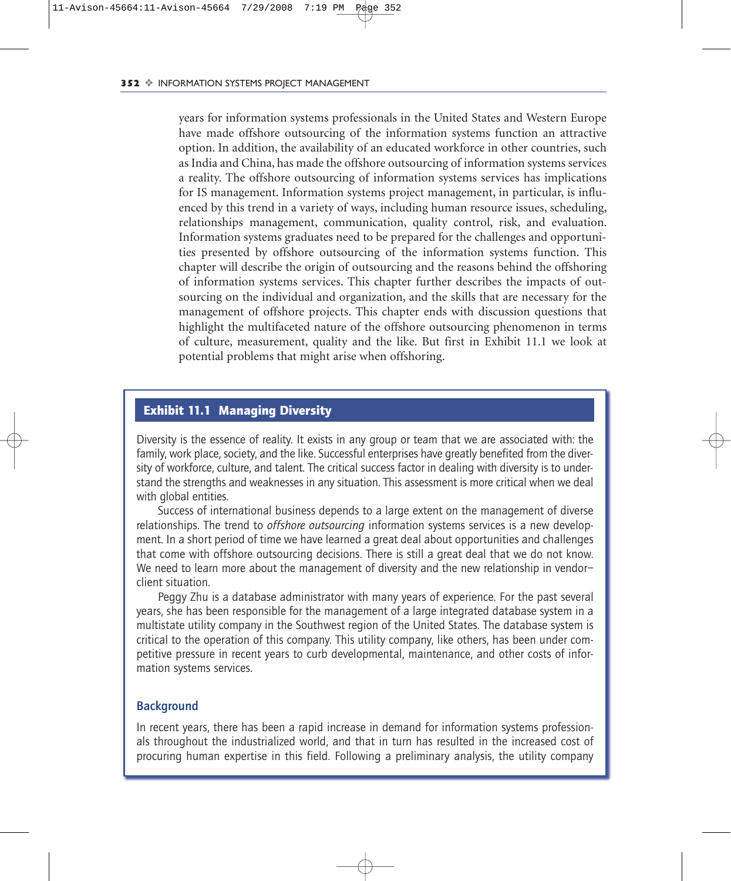years for information systems professionals in the United States and Western Europe have made offshore outsourcing of the information systems function an attractive option. In addition, the availability of an educated workforce in other countries, such as India and China, has made the offshore outsourcing of information systems services a reality. The offshore outsourcing of information systems services has implications for IS management. Information systems project management, in particular, is influenced by this trend in a variety of ways, including human resource issues, scheduling, relationships management, communication, quality control, risk, and evaluation. Information systems graduates need to be prepared for the challenges and opportunities presented by offshore outsourcing of the information systems function. This chapter will describe the origin of outsourcing and the reasons behind the offshoring of information systems services. This chapter further describes the impacts of outsourcing on the individual and organization, and the skills that are necessary for the management of offshore projects. This chapter ends with discussion questions that highlight the multifaceted nature of the offshore outsourcing phenomenon in terms of culture, measurement, quality and the like. But first in Exhibit 11.1 we look at potential problems that might arise when offshoring.

# **Exhibit 11.1 Managing Diversity**

Diversity is the essence of reality. It exists in any group or team that we are associated with: the family, work place, society, and the like. Successful enterprises have greatly benefited from the diversity of workforce, culture, and talent. The critical success factor in dealing with diversity is to understand the strengths and weaknesses in any situation. This assessment is more critical when we deal with global entities.

Success of international business depends to a large extent on the management of diverse relationships. The trend to *offshore outsourcing* information systems services is a new development. In a short period of time we have learned a great deal about opportunities and challenges that come with offshore outsourcing decisions. There is still a great deal that we do not know. We need to learn more about the management of diversity and the new relationship in vendor– client situation.

Peggy Zhu is a database administrator with many years of experience. For the past several years, she has been responsible for the management of a large integrated database system in a multistate utility company in the Southwest region of the United States. The database system is critical to the operation of this company. This utility company, like others, has been under competitive pressure in recent years to curb developmental, maintenance, and other costs of information systems services.

## **Background**

In recent years, there has been a rapid increase in demand for information systems professionals throughout the industrialized world, and that in turn has resulted in the increased cost of procuring human expertise in this field. Following a preliminary analysis, the utility company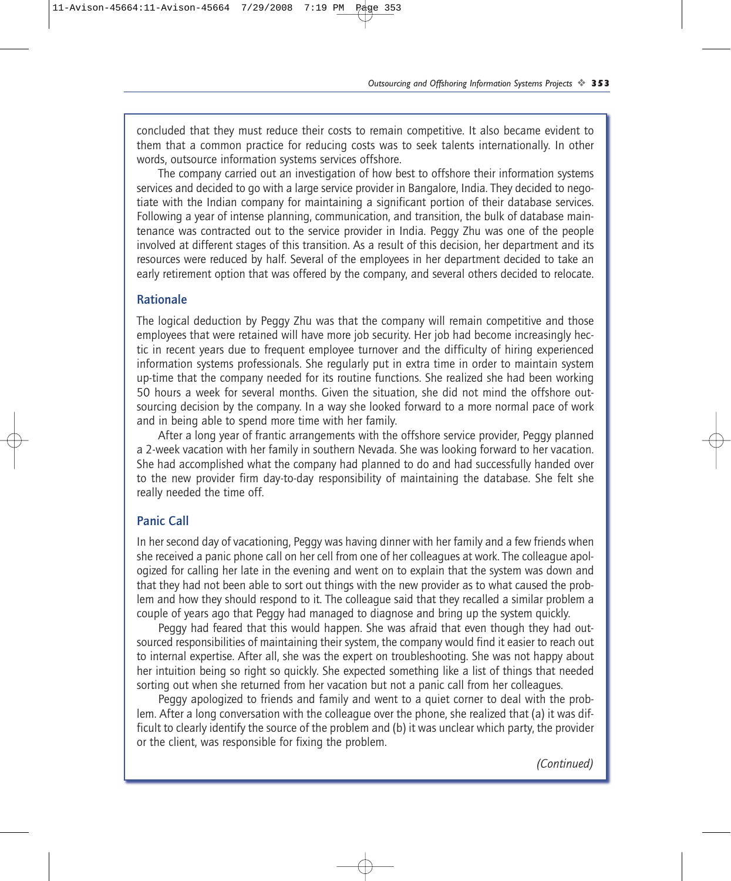concluded that they must reduce their costs to remain competitive. It also became evident to them that a common practice for reducing costs was to seek talents internationally. In other words, outsource information systems services offshore.

The company carried out an investigation of how best to offshore their information systems services and decided to go with a large service provider in Bangalore, India. They decided to negotiate with the Indian company for maintaining a significant portion of their database services. Following a year of intense planning, communication, and transition, the bulk of database maintenance was contracted out to the service provider in India. Peggy Zhu was one of the people involved at different stages of this transition. As a result of this decision, her department and its resources were reduced by half. Several of the employees in her department decided to take an early retirement option that was offered by the company, and several others decided to relocate.

### Rationale

The logical deduction by Peggy Zhu was that the company will remain competitive and those employees that were retained will have more job security. Her job had become increasingly hectic in recent years due to frequent employee turnover and the difficulty of hiring experienced information systems professionals. She regularly put in extra time in order to maintain system up-time that the company needed for its routine functions. She realized she had been working 50 hours a week for several months. Given the situation, she did not mind the offshore outsourcing decision by the company. In a way she looked forward to a more normal pace of work and in being able to spend more time with her family.

After a long year of frantic arrangements with the offshore service provider, Peggy planned a 2-week vacation with her family in southern Nevada. She was looking forward to her vacation. She had accomplished what the company had planned to do and had successfully handed over to the new provider firm day-to-day responsibility of maintaining the database. She felt she really needed the time off.

## Panic Call

In her second day of vacationing, Peggy was having dinner with her family and a few friends when she received a panic phone call on her cell from one of her colleagues at work. The colleague apologized for calling her late in the evening and went on to explain that the system was down and that they had not been able to sort out things with the new provider as to what caused the problem and how they should respond to it. The colleague said that they recalled a similar problem a couple of years ago that Peggy had managed to diagnose and bring up the system quickly.

Peggy had feared that this would happen. She was afraid that even though they had outsourced responsibilities of maintaining their system, the company would find it easier to reach out to internal expertise. After all, she was the expert on troubleshooting. She was not happy about her intuition being so right so quickly. She expected something like a list of things that needed sorting out when she returned from her vacation but not a panic call from her colleagues.

Peggy apologized to friends and family and went to a quiet corner to deal with the problem. After a long conversation with the colleague over the phone, she realized that (a) it was difficult to clearly identify the source of the problem and (b) it was unclear which party, the provider or the client, was responsible for fixing the problem.

*(Continued)*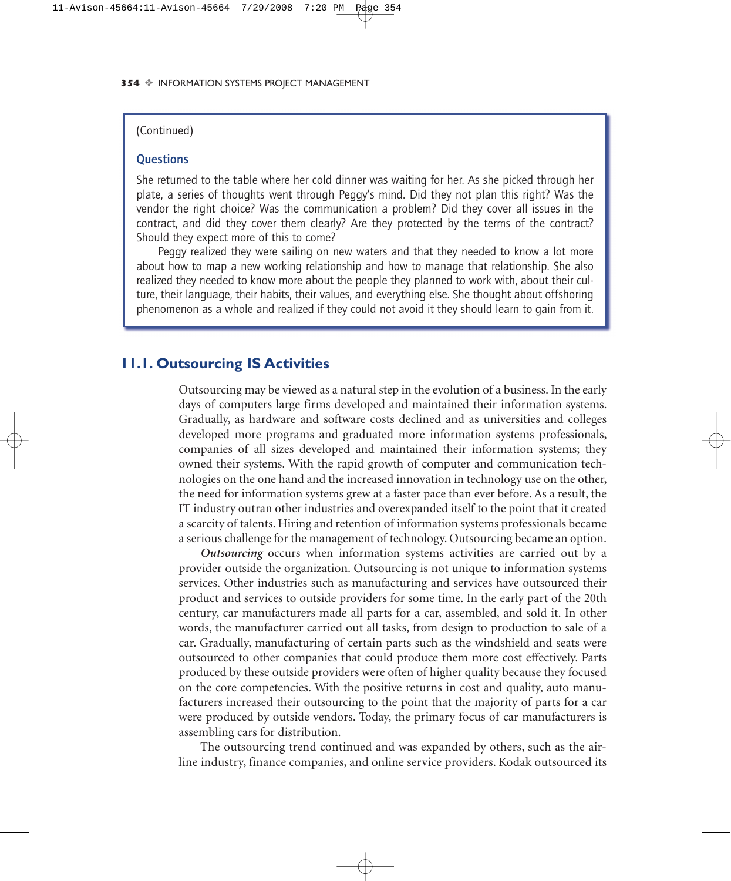#### (Continued)

## **Questions**

She returned to the table where her cold dinner was waiting for her. As she picked through her plate, a series of thoughts went through Peggy's mind. Did they not plan this right? Was the vendor the right choice? Was the communication a problem? Did they cover all issues in the contract, and did they cover them clearly? Are they protected by the terms of the contract? Should they expect more of this to come?

Peggy realized they were sailing on new waters and that they needed to know a lot more about how to map a new working relationship and how to manage that relationship. She also realized they needed to know more about the people they planned to work with, about their culture, their language, their habits, their values, and everything else. She thought about offshoring phenomenon as a whole and realized if they could not avoid it they should learn to gain from it.

# **11.1. Outsourcing IS Activities**

Outsourcing may be viewed as a natural step in the evolution of a business. In the early days of computers large firms developed and maintained their information systems. Gradually, as hardware and software costs declined and as universities and colleges developed more programs and graduated more information systems professionals, companies of all sizes developed and maintained their information systems; they owned their systems. With the rapid growth of computer and communication technologies on the one hand and the increased innovation in technology use on the other, the need for information systems grew at a faster pace than ever before. As a result, the IT industry outran other industries and overexpanded itself to the point that it created a scarcity of talents. Hiring and retention of information systems professionals became a serious challenge for the management of technology. Outsourcing became an option.

*Outsourcing* occurs when information systems activities are carried out by a provider outside the organization. Outsourcing is not unique to information systems services. Other industries such as manufacturing and services have outsourced their product and services to outside providers for some time. In the early part of the 20th century, car manufacturers made all parts for a car, assembled, and sold it. In other words, the manufacturer carried out all tasks, from design to production to sale of a car. Gradually, manufacturing of certain parts such as the windshield and seats were outsourced to other companies that could produce them more cost effectively. Parts produced by these outside providers were often of higher quality because they focused on the core competencies. With the positive returns in cost and quality, auto manufacturers increased their outsourcing to the point that the majority of parts for a car were produced by outside vendors. Today, the primary focus of car manufacturers is assembling cars for distribution.

The outsourcing trend continued and was expanded by others, such as the airline industry, finance companies, and online service providers. Kodak outsourced its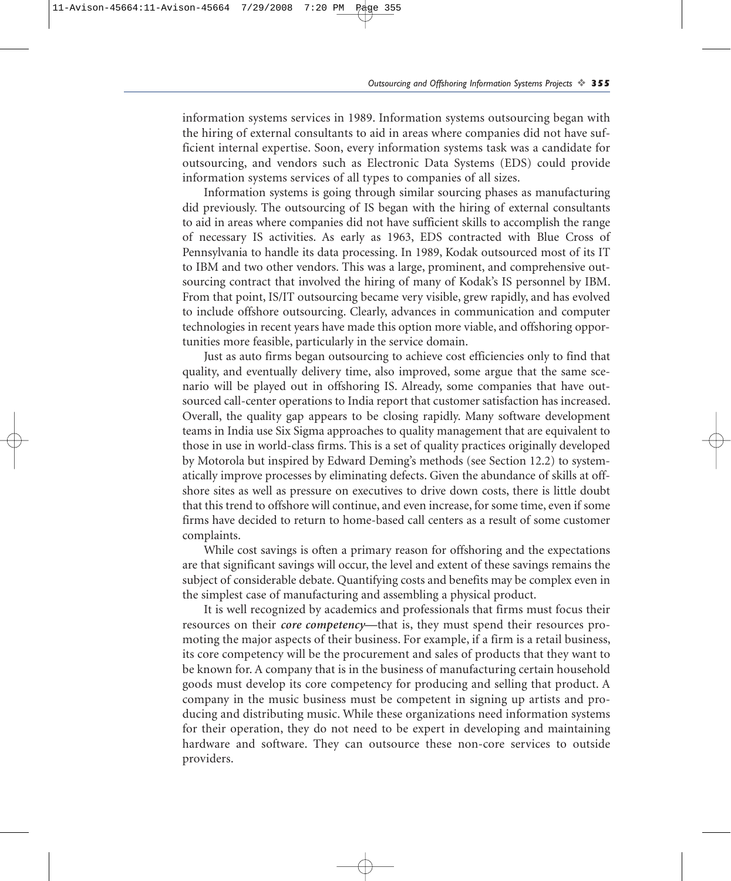information systems services in 1989. Information systems outsourcing began with the hiring of external consultants to aid in areas where companies did not have sufficient internal expertise. Soon, every information systems task was a candidate for outsourcing, and vendors such as Electronic Data Systems (EDS) could provide information systems services of all types to companies of all sizes.

Information systems is going through similar sourcing phases as manufacturing did previously. The outsourcing of IS began with the hiring of external consultants to aid in areas where companies did not have sufficient skills to accomplish the range of necessary IS activities. As early as 1963, EDS contracted with Blue Cross of Pennsylvania to handle its data processing. In 1989, Kodak outsourced most of its IT to IBM and two other vendors. This was a large, prominent, and comprehensive outsourcing contract that involved the hiring of many of Kodak's IS personnel by IBM. From that point, IS/IT outsourcing became very visible, grew rapidly, and has evolved to include offshore outsourcing. Clearly, advances in communication and computer technologies in recent years have made this option more viable, and offshoring opportunities more feasible, particularly in the service domain.

Just as auto firms began outsourcing to achieve cost efficiencies only to find that quality, and eventually delivery time, also improved, some argue that the same scenario will be played out in offshoring IS. Already, some companies that have outsourced call-center operations to India report that customer satisfaction has increased. Overall, the quality gap appears to be closing rapidly. Many software development teams in India use Six Sigma approaches to quality management that are equivalent to those in use in world-class firms. This is a set of quality practices originally developed by Motorola but inspired by Edward Deming's methods (see Section 12.2) to systematically improve processes by eliminating defects. Given the abundance of skills at offshore sites as well as pressure on executives to drive down costs, there is little doubt that this trend to offshore will continue, and even increase, for some time, even if some firms have decided to return to home-based call centers as a result of some customer complaints.

While cost savings is often a primary reason for offshoring and the expectations are that significant savings will occur, the level and extent of these savings remains the subject of considerable debate. Quantifying costs and benefits may be complex even in the simplest case of manufacturing and assembling a physical product.

It is well recognized by academics and professionals that firms must focus their resources on their *core competency***—**that is, they must spend their resources promoting the major aspects of their business. For example, if a firm is a retail business, its core competency will be the procurement and sales of products that they want to be known for. A company that is in the business of manufacturing certain household goods must develop its core competency for producing and selling that product. A company in the music business must be competent in signing up artists and producing and distributing music. While these organizations need information systems for their operation, they do not need to be expert in developing and maintaining hardware and software. They can outsource these non-core services to outside providers.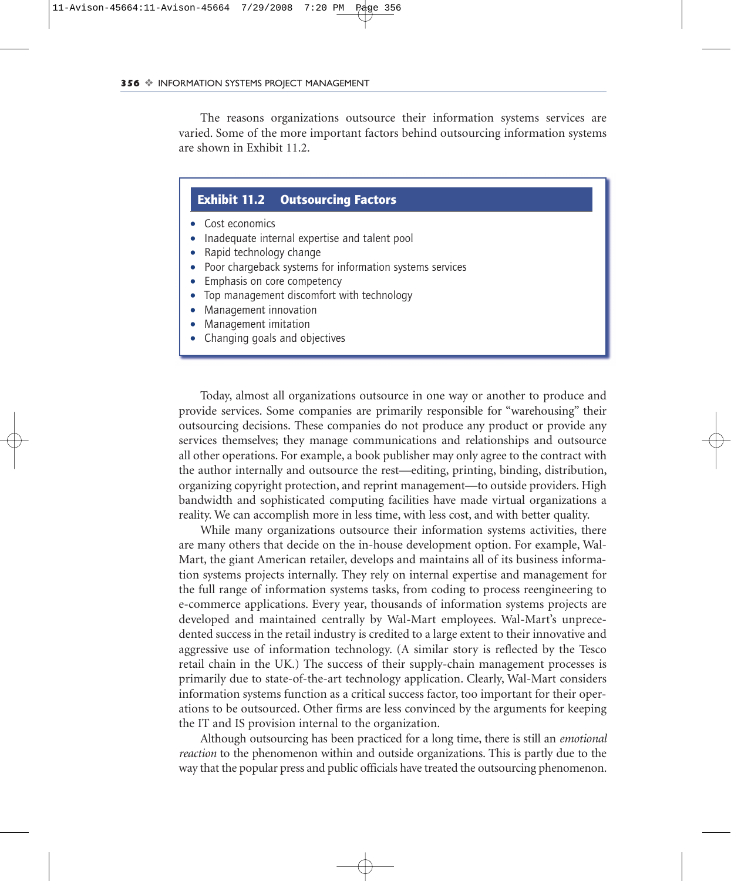The reasons organizations outsource their information systems services are varied. Some of the more important factors behind outsourcing information systems are shown in Exhibit 11.2.

## **Exhibit 11.2 Outsourcing Factors**

- Cost economics
- Inadequate internal expertise and talent pool
- Rapid technology change
- Poor chargeback systems for information systems services
- Emphasis on core competency
- Top management discomfort with technology
- Management innovation
- Management imitation
- Changing goals and objectives

Today, almost all organizations outsource in one way or another to produce and provide services. Some companies are primarily responsible for "warehousing" their outsourcing decisions. These companies do not produce any product or provide any services themselves; they manage communications and relationships and outsource all other operations. For example, a book publisher may only agree to the contract with the author internally and outsource the rest—editing, printing, binding, distribution, organizing copyright protection, and reprint management—to outside providers. High bandwidth and sophisticated computing facilities have made virtual organizations a reality. We can accomplish more in less time, with less cost, and with better quality.

While many organizations outsource their information systems activities, there are many others that decide on the in-house development option. For example, Wal-Mart, the giant American retailer, develops and maintains all of its business information systems projects internally. They rely on internal expertise and management for the full range of information systems tasks, from coding to process reengineering to e-commerce applications. Every year, thousands of information systems projects are developed and maintained centrally by Wal-Mart employees. Wal-Mart's unprecedented success in the retail industry is credited to a large extent to their innovative and aggressive use of information technology. (A similar story is reflected by the Tesco retail chain in the UK.) The success of their supply-chain management processes is primarily due to state-of-the-art technology application. Clearly, Wal-Mart considers information systems function as a critical success factor, too important for their operations to be outsourced. Other firms are less convinced by the arguments for keeping the IT and IS provision internal to the organization.

Although outsourcing has been practiced for a long time, there is still an *emotional reaction* to the phenomenon within and outside organizations. This is partly due to the way that the popular press and public officials have treated the outsourcing phenomenon.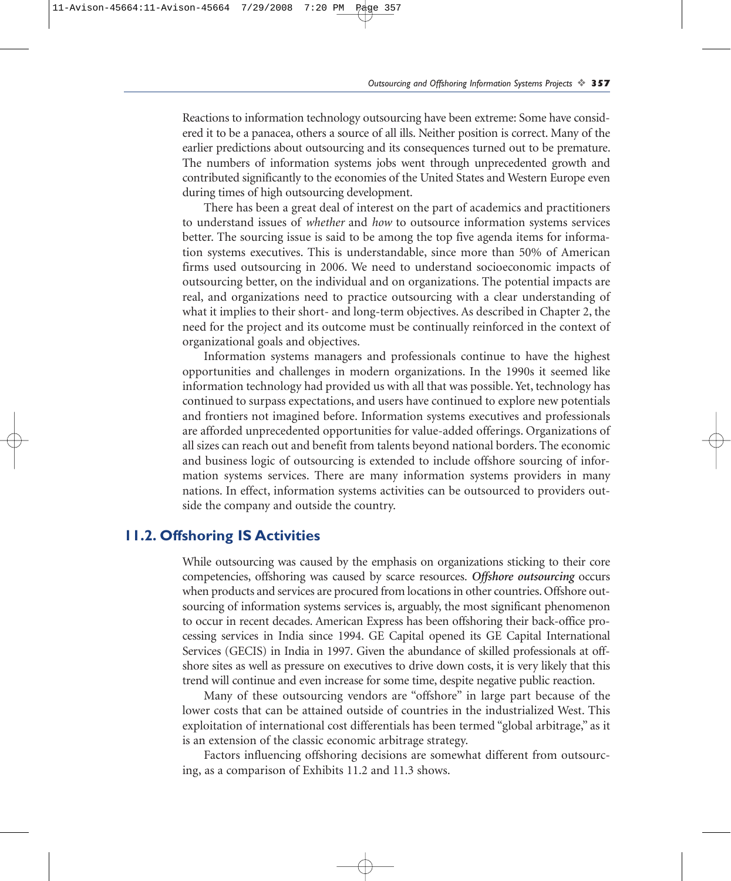Reactions to information technology outsourcing have been extreme: Some have considered it to be a panacea, others a source of all ills. Neither position is correct. Many of the earlier predictions about outsourcing and its consequences turned out to be premature. The numbers of information systems jobs went through unprecedented growth and contributed significantly to the economies of the United States and Western Europe even during times of high outsourcing development.

There has been a great deal of interest on the part of academics and practitioners to understand issues of *whether* and *how* to outsource information systems services better. The sourcing issue is said to be among the top five agenda items for information systems executives. This is understandable, since more than 50% of American firms used outsourcing in 2006. We need to understand socioeconomic impacts of outsourcing better, on the individual and on organizations. The potential impacts are real, and organizations need to practice outsourcing with a clear understanding of what it implies to their short- and long-term objectives. As described in Chapter 2, the need for the project and its outcome must be continually reinforced in the context of organizational goals and objectives.

Information systems managers and professionals continue to have the highest opportunities and challenges in modern organizations. In the 1990s it seemed like information technology had provided us with all that was possible. Yet, technology has continued to surpass expectations, and users have continued to explore new potentials and frontiers not imagined before. Information systems executives and professionals are afforded unprecedented opportunities for value-added offerings. Organizations of all sizes can reach out and benefit from talents beyond national borders. The economic and business logic of outsourcing is extended to include offshore sourcing of information systems services. There are many information systems providers in many nations. In effect, information systems activities can be outsourced to providers outside the company and outside the country.

# **11.2. Offshoring IS Activities**

While outsourcing was caused by the emphasis on organizations sticking to their core competencies, offshoring was caused by scarce resources. *Offshore outsourcing* occurs when products and services are procured from locations in other countries. Offshore outsourcing of information systems services is, arguably, the most significant phenomenon to occur in recent decades. American Express has been offshoring their back-office processing services in India since 1994. GE Capital opened its GE Capital International Services (GECIS) in India in 1997. Given the abundance of skilled professionals at offshore sites as well as pressure on executives to drive down costs, it is very likely that this trend will continue and even increase for some time, despite negative public reaction.

Many of these outsourcing vendors are "offshore" in large part because of the lower costs that can be attained outside of countries in the industrialized West. This exploitation of international cost differentials has been termed "global arbitrage," as it is an extension of the classic economic arbitrage strategy.

Factors influencing offshoring decisions are somewhat different from outsourcing, as a comparison of Exhibits 11.2 and 11.3 shows.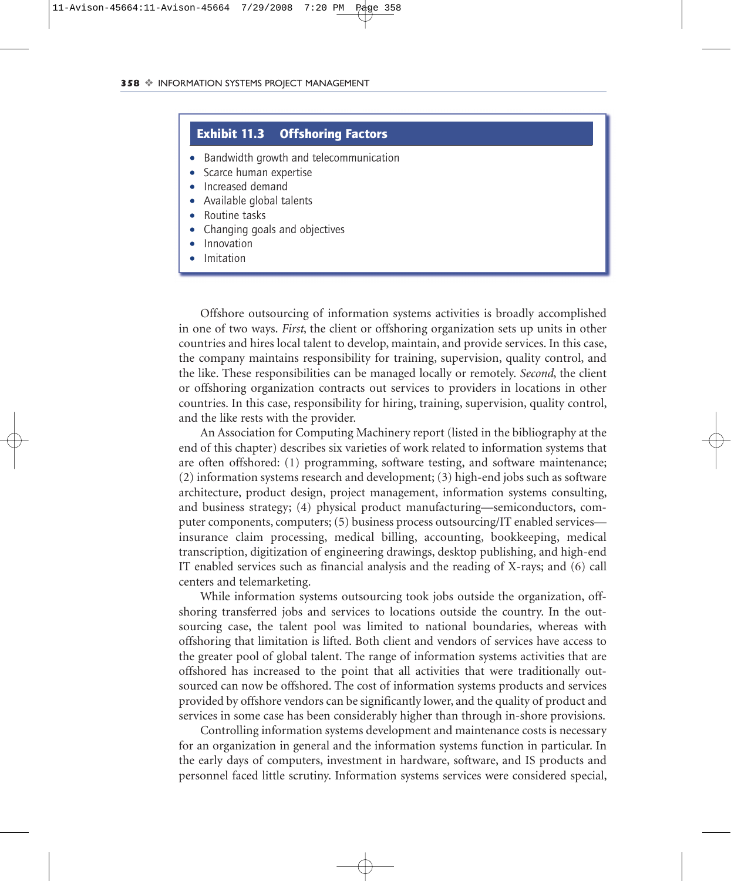# **Exhibit 11.3 Offshoring Factors**

- Bandwidth growth and telecommunication
- Scarce human expertise
- Increased demand
- Available global talents
- Routine tasks
- Changing goals and objectives
- **Innovation**
- **Imitation**

Offshore outsourcing of information systems activities is broadly accomplished in one of two ways. *First*, the client or offshoring organization sets up units in other countries and hires local talent to develop, maintain, and provide services. In this case, the company maintains responsibility for training, supervision, quality control, and the like. These responsibilities can be managed locally or remotely. *Second*, the client or offshoring organization contracts out services to providers in locations in other countries. In this case, responsibility for hiring, training, supervision, quality control, and the like rests with the provider.

An Association for Computing Machinery report (listed in the bibliography at the end of this chapter) describes six varieties of work related to information systems that are often offshored: (1) programming, software testing, and software maintenance; (2) information systems research and development; (3) high-end jobs such as software architecture, product design, project management, information systems consulting, and business strategy; (4) physical product manufacturing—semiconductors, computer components, computers; (5) business process outsourcing/IT enabled services insurance claim processing, medical billing, accounting, bookkeeping, medical transcription, digitization of engineering drawings, desktop publishing, and high-end IT enabled services such as financial analysis and the reading of X-rays; and (6) call centers and telemarketing.

While information systems outsourcing took jobs outside the organization, offshoring transferred jobs and services to locations outside the country. In the outsourcing case, the talent pool was limited to national boundaries, whereas with offshoring that limitation is lifted. Both client and vendors of services have access to the greater pool of global talent. The range of information systems activities that are offshored has increased to the point that all activities that were traditionally outsourced can now be offshored. The cost of information systems products and services provided by offshore vendors can be significantly lower, and the quality of product and services in some case has been considerably higher than through in-shore provisions.

Controlling information systems development and maintenance costs is necessary for an organization in general and the information systems function in particular. In the early days of computers, investment in hardware, software, and IS products and personnel faced little scrutiny. Information systems services were considered special,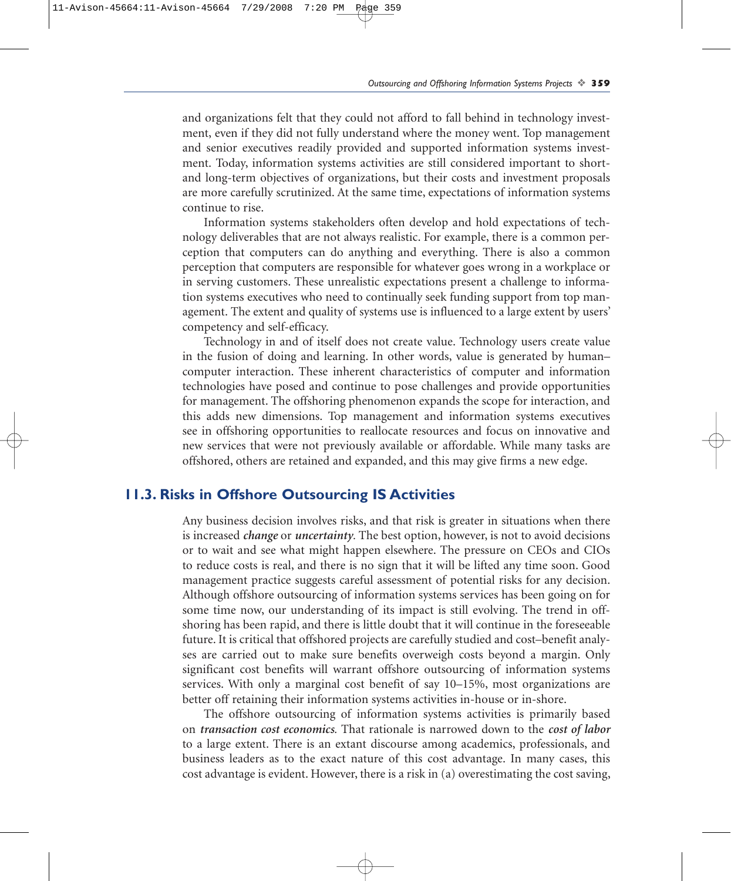and organizations felt that they could not afford to fall behind in technology investment, even if they did not fully understand where the money went. Top management and senior executives readily provided and supported information systems investment. Today, information systems activities are still considered important to shortand long-term objectives of organizations, but their costs and investment proposals are more carefully scrutinized. At the same time, expectations of information systems continue to rise.

Information systems stakeholders often develop and hold expectations of technology deliverables that are not always realistic. For example, there is a common perception that computers can do anything and everything. There is also a common perception that computers are responsible for whatever goes wrong in a workplace or in serving customers. These unrealistic expectations present a challenge to information systems executives who need to continually seek funding support from top management. The extent and quality of systems use is influenced to a large extent by users' competency and self-efficacy.

Technology in and of itself does not create value. Technology users create value in the fusion of doing and learning. In other words, value is generated by human– computer interaction. These inherent characteristics of computer and information technologies have posed and continue to pose challenges and provide opportunities for management. The offshoring phenomenon expands the scope for interaction, and this adds new dimensions. Top management and information systems executives see in offshoring opportunities to reallocate resources and focus on innovative and new services that were not previously available or affordable. While many tasks are offshored, others are retained and expanded, and this may give firms a new edge.

# **11.3. Risks in Offshore Outsourcing IS Activities**

Any business decision involves risks, and that risk is greater in situations when there is increased *change* or *uncertainty.* The best option, however, is not to avoid decisions or to wait and see what might happen elsewhere. The pressure on CEOs and CIOs to reduce costs is real, and there is no sign that it will be lifted any time soon. Good management practice suggests careful assessment of potential risks for any decision. Although offshore outsourcing of information systems services has been going on for some time now, our understanding of its impact is still evolving. The trend in offshoring has been rapid, and there is little doubt that it will continue in the foreseeable future. It is critical that offshored projects are carefully studied and cost–benefit analyses are carried out to make sure benefits overweigh costs beyond a margin. Only significant cost benefits will warrant offshore outsourcing of information systems services. With only a marginal cost benefit of say 10–15%, most organizations are better off retaining their information systems activities in-house or in-shore.

The offshore outsourcing of information systems activities is primarily based on *transaction cost economics.* That rationale is narrowed down to the *cost of labor* to a large extent. There is an extant discourse among academics, professionals, and business leaders as to the exact nature of this cost advantage. In many cases, this cost advantage is evident. However, there is a risk in (a) overestimating the cost saving,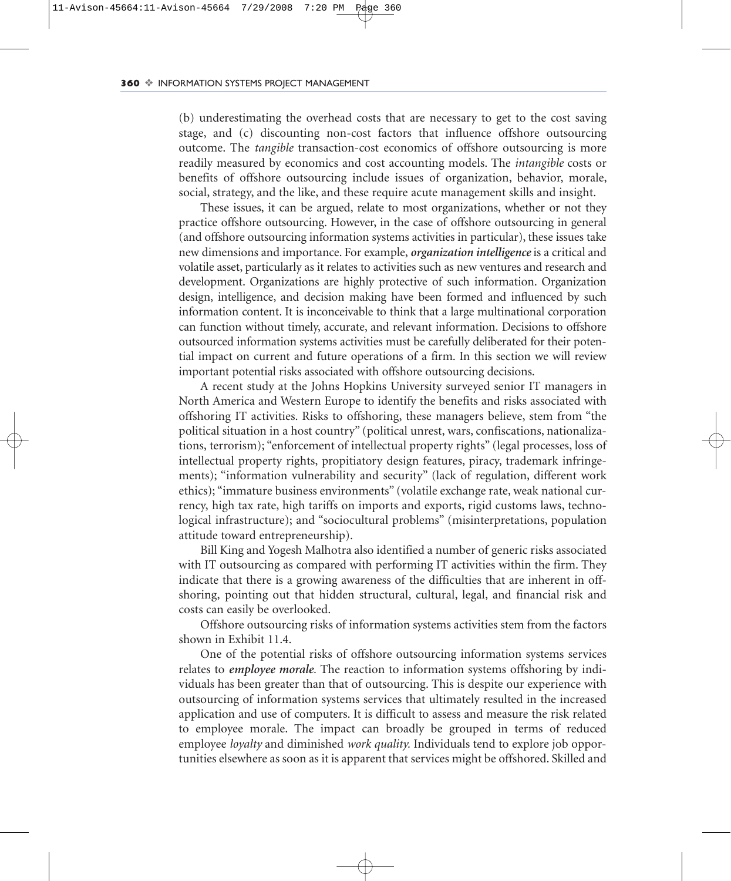(b) underestimating the overhead costs that are necessary to get to the cost saving stage, and (c) discounting non-cost factors that influence offshore outsourcing outcome. The *tangible* transaction-cost economics of offshore outsourcing is more readily measured by economics and cost accounting models. The *intangible* costs or benefits of offshore outsourcing include issues of organization, behavior, morale, social, strategy, and the like, and these require acute management skills and insight.

These issues, it can be argued, relate to most organizations, whether or not they practice offshore outsourcing. However, in the case of offshore outsourcing in general (and offshore outsourcing information systems activities in particular), these issues take new dimensions and importance. For example, *organization intelligence* is a critical and volatile asset, particularly as it relates to activities such as new ventures and research and development. Organizations are highly protective of such information. Organization design, intelligence, and decision making have been formed and influenced by such information content. It is inconceivable to think that a large multinational corporation can function without timely, accurate, and relevant information. Decisions to offshore outsourced information systems activities must be carefully deliberated for their potential impact on current and future operations of a firm. In this section we will review important potential risks associated with offshore outsourcing decisions.

A recent study at the Johns Hopkins University surveyed senior IT managers in North America and Western Europe to identify the benefits and risks associated with offshoring IT activities. Risks to offshoring, these managers believe, stem from "the political situation in a host country" (political unrest, wars, confiscations, nationalizations, terrorism); "enforcement of intellectual property rights" (legal processes, loss of intellectual property rights, propitiatory design features, piracy, trademark infringements); "information vulnerability and security" (lack of regulation, different work ethics); "immature business environments" (volatile exchange rate, weak national currency, high tax rate, high tariffs on imports and exports, rigid customs laws, technological infrastructure); and "sociocultural problems" (misinterpretations, population attitude toward entrepreneurship).

Bill King and Yogesh Malhotra also identified a number of generic risks associated with IT outsourcing as compared with performing IT activities within the firm. They indicate that there is a growing awareness of the difficulties that are inherent in offshoring, pointing out that hidden structural, cultural, legal, and financial risk and costs can easily be overlooked.

Offshore outsourcing risks of information systems activities stem from the factors shown in Exhibit 11.4.

One of the potential risks of offshore outsourcing information systems services relates to *employee morale.* The reaction to information systems offshoring by individuals has been greater than that of outsourcing. This is despite our experience with outsourcing of information systems services that ultimately resulted in the increased application and use of computers. It is difficult to assess and measure the risk related to employee morale. The impact can broadly be grouped in terms of reduced employee *loyalty* and diminished *work quality.* Individuals tend to explore job opportunities elsewhere as soon as it is apparent that services might be offshored. Skilled and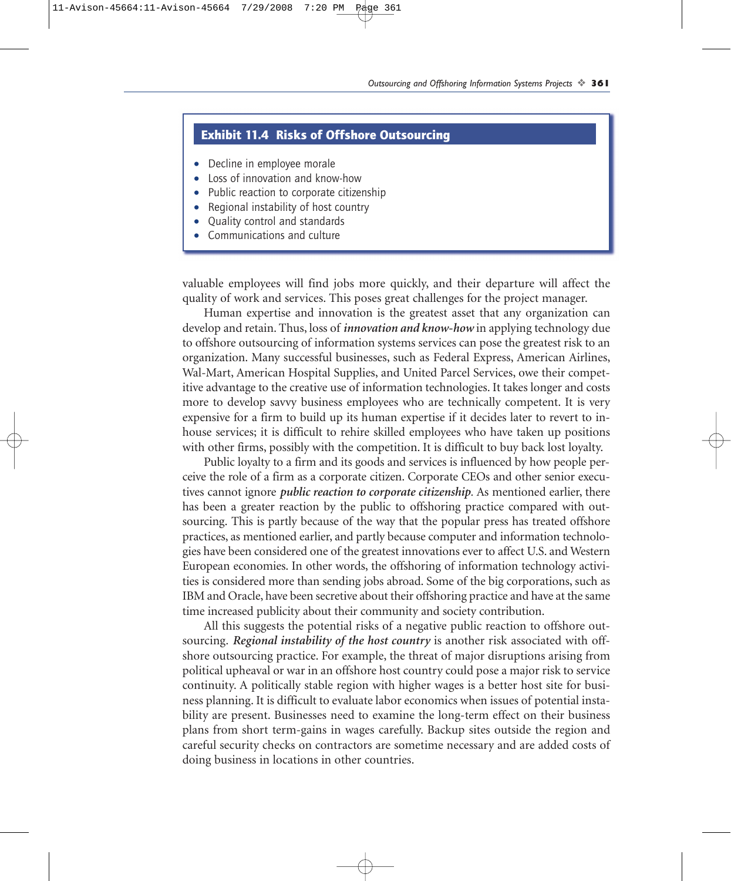## **Exhibit 11.4 Risks of Offshore Outsourcing**

- Decline in employee morale
- Loss of innovation and know-how
- Public reaction to corporate citizenship
- Regional instability of host country
- Quality control and standards
- Communications and culture

valuable employees will find jobs more quickly, and their departure will affect the quality of work and services. This poses great challenges for the project manager.

Human expertise and innovation is the greatest asset that any organization can develop and retain. Thus, loss of *innovation and know-how* in applying technology due to offshore outsourcing of information systems services can pose the greatest risk to an organization. Many successful businesses, such as Federal Express, American Airlines, Wal-Mart, American Hospital Supplies, and United Parcel Services, owe their competitive advantage to the creative use of information technologies. It takes longer and costs more to develop savvy business employees who are technically competent. It is very expensive for a firm to build up its human expertise if it decides later to revert to inhouse services; it is difficult to rehire skilled employees who have taken up positions with other firms, possibly with the competition. It is difficult to buy back lost loyalty.

Public loyalty to a firm and its goods and services is influenced by how people perceive the role of a firm as a corporate citizen. Corporate CEOs and other senior executives cannot ignore *public reaction to corporate citizenship.* As mentioned earlier, there has been a greater reaction by the public to offshoring practice compared with outsourcing. This is partly because of the way that the popular press has treated offshore practices, as mentioned earlier, and partly because computer and information technologies have been considered one of the greatest innovations ever to affect U.S. and Western European economies. In other words, the offshoring of information technology activities is considered more than sending jobs abroad. Some of the big corporations, such as IBM and Oracle, have been secretive about their offshoring practice and have at the same time increased publicity about their community and society contribution.

All this suggests the potential risks of a negative public reaction to offshore outsourcing. *Regional instability of the host country* is another risk associated with offshore outsourcing practice. For example, the threat of major disruptions arising from political upheaval or war in an offshore host country could pose a major risk to service continuity. A politically stable region with higher wages is a better host site for business planning. It is difficult to evaluate labor economics when issues of potential instability are present. Businesses need to examine the long-term effect on their business plans from short term-gains in wages carefully. Backup sites outside the region and careful security checks on contractors are sometime necessary and are added costs of doing business in locations in other countries.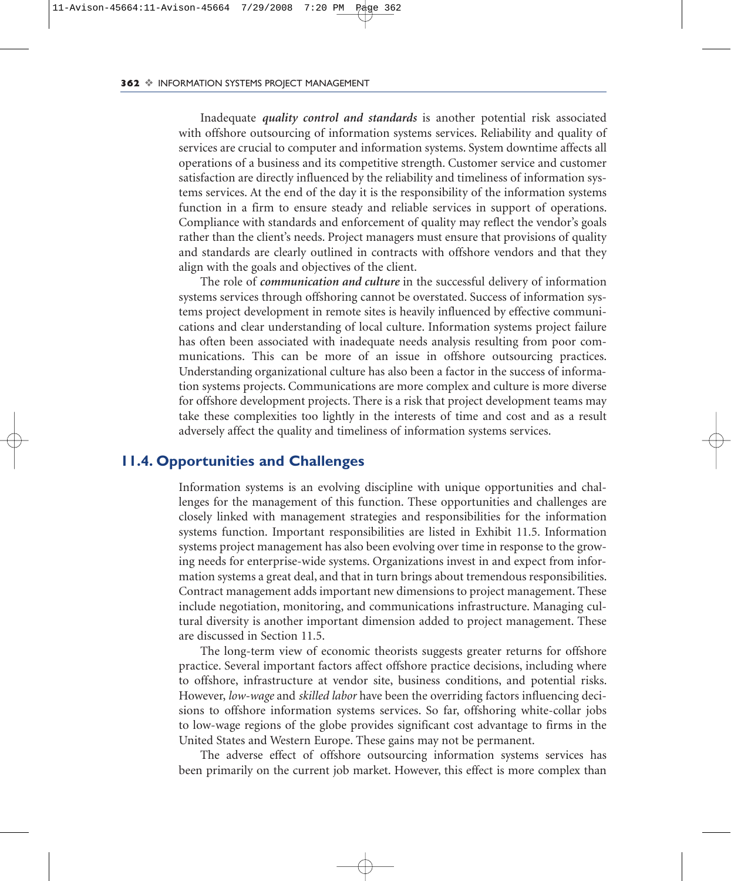Inadequate *quality control and standards* is another potential risk associated with offshore outsourcing of information systems services. Reliability and quality of services are crucial to computer and information systems. System downtime affects all operations of a business and its competitive strength. Customer service and customer satisfaction are directly influenced by the reliability and timeliness of information systems services. At the end of the day it is the responsibility of the information systems function in a firm to ensure steady and reliable services in support of operations. Compliance with standards and enforcement of quality may reflect the vendor's goals rather than the client's needs. Project managers must ensure that provisions of quality and standards are clearly outlined in contracts with offshore vendors and that they align with the goals and objectives of the client.

The role of *communication and culture* in the successful delivery of information systems services through offshoring cannot be overstated. Success of information systems project development in remote sites is heavily influenced by effective communications and clear understanding of local culture. Information systems project failure has often been associated with inadequate needs analysis resulting from poor communications. This can be more of an issue in offshore outsourcing practices. Understanding organizational culture has also been a factor in the success of information systems projects. Communications are more complex and culture is more diverse for offshore development projects. There is a risk that project development teams may take these complexities too lightly in the interests of time and cost and as a result adversely affect the quality and timeliness of information systems services.

# **11.4. Opportunities and Challenges**

Information systems is an evolving discipline with unique opportunities and challenges for the management of this function. These opportunities and challenges are closely linked with management strategies and responsibilities for the information systems function. Important responsibilities are listed in Exhibit 11.5. Information systems project management has also been evolving over time in response to the growing needs for enterprise-wide systems. Organizations invest in and expect from information systems a great deal, and that in turn brings about tremendous responsibilities. Contract management adds important new dimensions to project management. These include negotiation, monitoring, and communications infrastructure. Managing cultural diversity is another important dimension added to project management. These are discussed in Section 11.5.

The long-term view of economic theorists suggests greater returns for offshore practice. Several important factors affect offshore practice decisions, including where to offshore, infrastructure at vendor site, business conditions, and potential risks. However, *low-wage* and *skilled labor* have been the overriding factors influencing decisions to offshore information systems services. So far, offshoring white-collar jobs to low-wage regions of the globe provides significant cost advantage to firms in the United States and Western Europe. These gains may not be permanent.

The adverse effect of offshore outsourcing information systems services has been primarily on the current job market. However, this effect is more complex than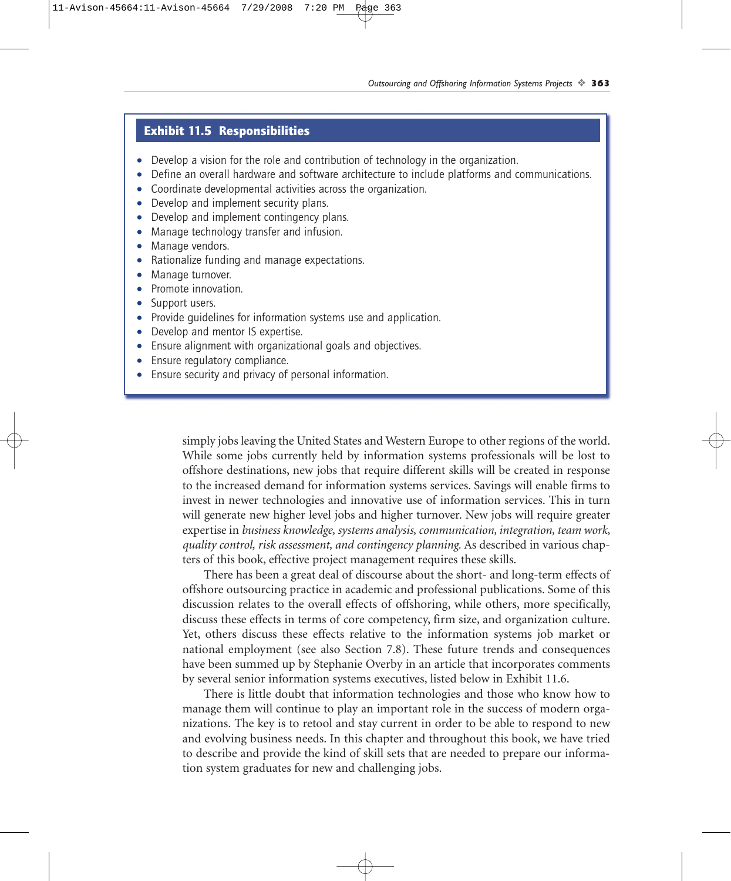*Outsourcing and Offshoring Information Systems Projects* ❖ **363**

# **Exhibit 11.5 Responsibilities**

- Develop a vision for the role and contribution of technology in the organization.
- Define an overall hardware and software architecture to include platforms and communications.
- Coordinate developmental activities across the organization.
- Develop and implement security plans.
- Develop and implement contingency plans.
- Manage technology transfer and infusion.
- Manage vendors.
- Rationalize funding and manage expectations.
- Manage turnover.
- Promote innovation.
- Support users.
- Provide guidelines for information systems use and application.
- Develop and mentor IS expertise.
- Ensure alignment with organizational goals and objectives.
- Ensure regulatory compliance.
- Ensure security and privacy of personal information.

simply jobs leaving the United States and Western Europe to other regions of the world. While some jobs currently held by information systems professionals will be lost to offshore destinations, new jobs that require different skills will be created in response to the increased demand for information systems services. Savings will enable firms to invest in newer technologies and innovative use of information services. This in turn will generate new higher level jobs and higher turnover. New jobs will require greater expertise in *business knowledge, systems analysis, communication, integration, team work, quality control, risk assessment, and contingency planning.* As described in various chapters of this book, effective project management requires these skills.

There has been a great deal of discourse about the short- and long-term effects of offshore outsourcing practice in academic and professional publications. Some of this discussion relates to the overall effects of offshoring, while others, more specifically, discuss these effects in terms of core competency, firm size, and organization culture. Yet, others discuss these effects relative to the information systems job market or national employment (see also Section 7.8). These future trends and consequences have been summed up by Stephanie Overby in an article that incorporates comments by several senior information systems executives, listed below in Exhibit 11.6.

There is little doubt that information technologies and those who know how to manage them will continue to play an important role in the success of modern organizations. The key is to retool and stay current in order to be able to respond to new and evolving business needs. In this chapter and throughout this book, we have tried to describe and provide the kind of skill sets that are needed to prepare our information system graduates for new and challenging jobs.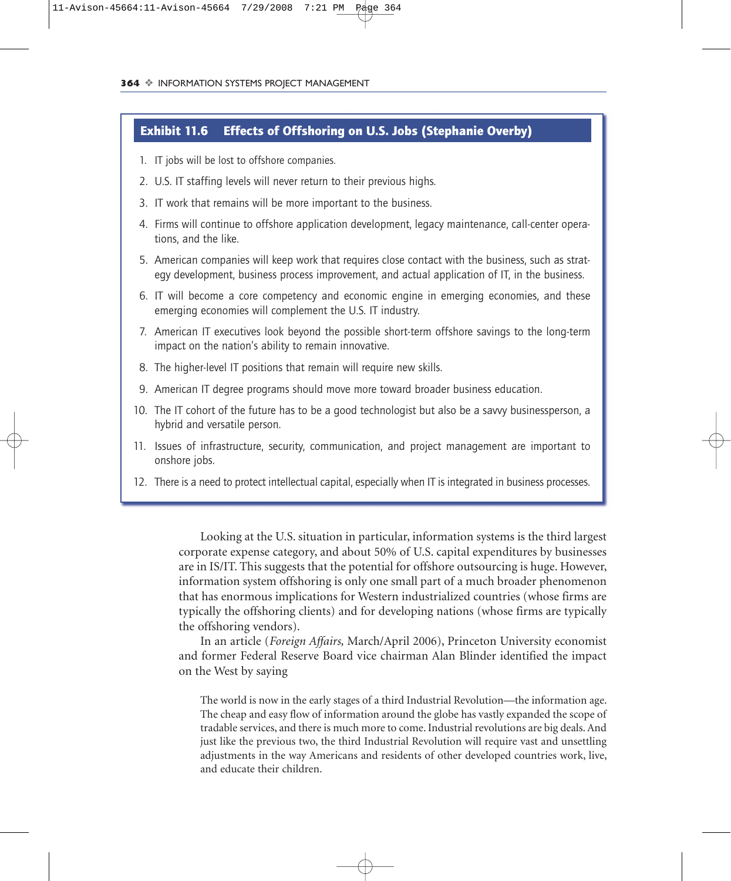

- 1. IT jobs will be lost to offshore companies.
- 2. U.S. IT staffing levels will never return to their previous highs.
- 3. IT work that remains will be more important to the business.
- 4. Firms will continue to offshore application development, legacy maintenance, call-center operations, and the like.
- 5. American companies will keep work that requires close contact with the business, such as strategy development, business process improvement, and actual application of IT, in the business.
- 6. IT will become a core competency and economic engine in emerging economies, and these emerging economies will complement the U.S. IT industry.
- 7. American IT executives look beyond the possible short-term offshore savings to the long-term impact on the nation's ability to remain innovative.
- 8. The higher-level IT positions that remain will require new skills.
- 9. American IT degree programs should move more toward broader business education.
- 10. The IT cohort of the future has to be a good technologist but also be a savvy businessperson, a hybrid and versatile person.
- 11. Issues of infrastructure, security, communication, and project management are important to onshore jobs.
- 12. There is a need to protect intellectual capital, especially when IT is integrated in business processes.

Looking at the U.S. situation in particular, information systems is the third largest corporate expense category, and about 50% of U.S. capital expenditures by businesses are in IS/IT. This suggests that the potential for offshore outsourcing is huge. However, information system offshoring is only one small part of a much broader phenomenon that has enormous implications for Western industrialized countries (whose firms are typically the offshoring clients) and for developing nations (whose firms are typically the offshoring vendors).

In an article (*Foreign Affairs,* March/April 2006), Princeton University economist and former Federal Reserve Board vice chairman Alan Blinder identified the impact on the West by saying

The world is now in the early stages of a third Industrial Revolution—the information age. The cheap and easy flow of information around the globe has vastly expanded the scope of tradable services, and there is much more to come. Industrial revolutions are big deals. And just like the previous two, the third Industrial Revolution will require vast and unsettling adjustments in the way Americans and residents of other developed countries work, live, and educate their children.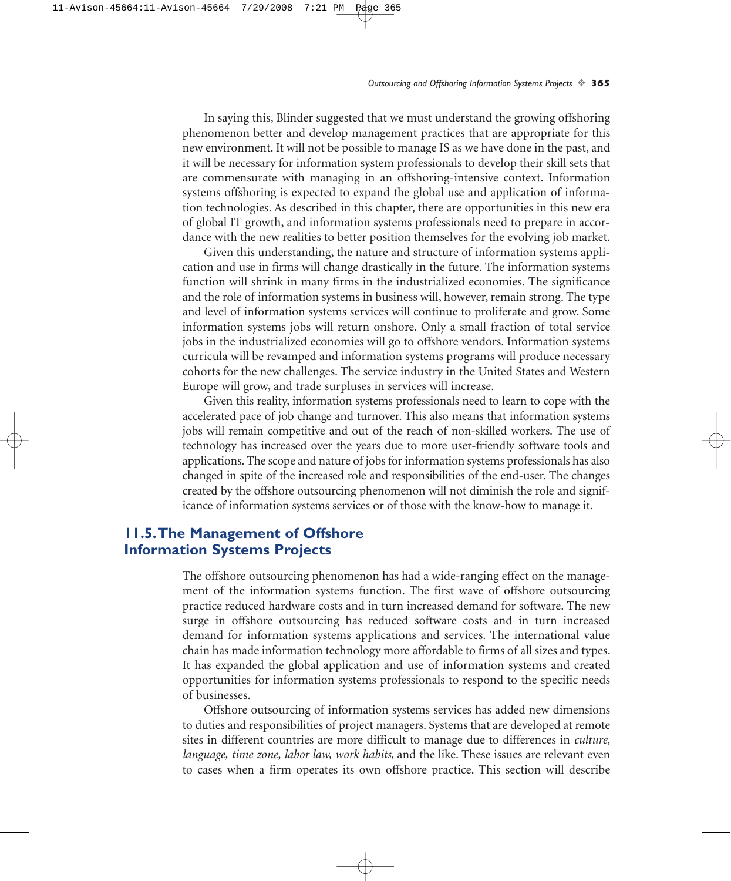In saying this, Blinder suggested that we must understand the growing offshoring phenomenon better and develop management practices that are appropriate for this new environment. It will not be possible to manage IS as we have done in the past, and it will be necessary for information system professionals to develop their skill sets that are commensurate with managing in an offshoring-intensive context. Information systems offshoring is expected to expand the global use and application of information technologies. As described in this chapter, there are opportunities in this new era of global IT growth, and information systems professionals need to prepare in accordance with the new realities to better position themselves for the evolving job market.

Given this understanding, the nature and structure of information systems application and use in firms will change drastically in the future. The information systems function will shrink in many firms in the industrialized economies. The significance and the role of information systems in business will, however, remain strong. The type and level of information systems services will continue to proliferate and grow. Some information systems jobs will return onshore. Only a small fraction of total service jobs in the industrialized economies will go to offshore vendors. Information systems curricula will be revamped and information systems programs will produce necessary cohorts for the new challenges. The service industry in the United States and Western Europe will grow, and trade surpluses in services will increase.

Given this reality, information systems professionals need to learn to cope with the accelerated pace of job change and turnover. This also means that information systems jobs will remain competitive and out of the reach of non-skilled workers. The use of technology has increased over the years due to more user-friendly software tools and applications. The scope and nature of jobs for information systems professionals has also changed in spite of the increased role and responsibilities of the end-user. The changes created by the offshore outsourcing phenomenon will not diminish the role and significance of information systems services or of those with the know-how to manage it.

# **11.5. The Management of Offshore Information Systems Projects**

The offshore outsourcing phenomenon has had a wide-ranging effect on the management of the information systems function. The first wave of offshore outsourcing practice reduced hardware costs and in turn increased demand for software. The new surge in offshore outsourcing has reduced software costs and in turn increased demand for information systems applications and services. The international value chain has made information technology more affordable to firms of all sizes and types. It has expanded the global application and use of information systems and created opportunities for information systems professionals to respond to the specific needs of businesses.

Offshore outsourcing of information systems services has added new dimensions to duties and responsibilities of project managers. Systems that are developed at remote sites in different countries are more difficult to manage due to differences in *culture, language, time zone, labor law, work habits*, and the like. These issues are relevant even to cases when a firm operates its own offshore practice. This section will describe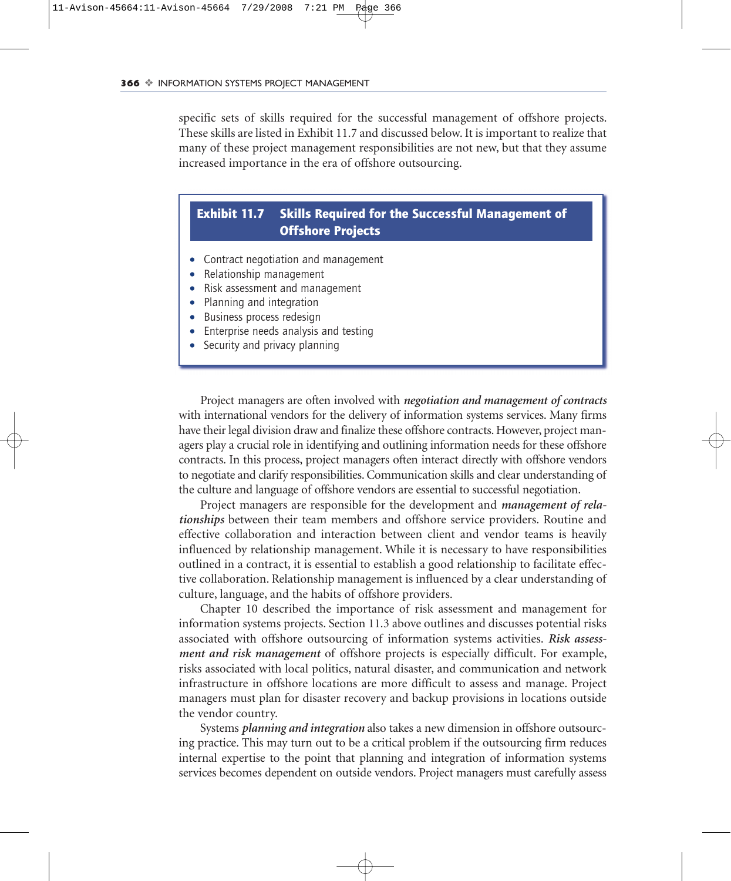specific sets of skills required for the successful management of offshore projects. These skills are listed in Exhibit 11.7 and discussed below. It is important to realize that many of these project management responsibilities are not new, but that they assume increased importance in the era of offshore outsourcing.

# **Exhibit 11.7 Skills Required for the Successful Management of Offshore Projects**

- Contract negotiation and management
- Relationship management
- Risk assessment and management
- Planning and integration
- Business process redesign
- Enterprise needs analysis and testing
- Security and privacy planning

Project managers are often involved with *negotiation and management of contracts* with international vendors for the delivery of information systems services. Many firms have their legal division draw and finalize these offshore contracts. However, project managers play a crucial role in identifying and outlining information needs for these offshore contracts. In this process, project managers often interact directly with offshore vendors to negotiate and clarify responsibilities. Communication skills and clear understanding of the culture and language of offshore vendors are essential to successful negotiation.

Project managers are responsible for the development and *management of relationships* between their team members and offshore service providers. Routine and effective collaboration and interaction between client and vendor teams is heavily influenced by relationship management. While it is necessary to have responsibilities outlined in a contract, it is essential to establish a good relationship to facilitate effective collaboration. Relationship management is influenced by a clear understanding of culture, language, and the habits of offshore providers.

Chapter 10 described the importance of risk assessment and management for information systems projects. Section 11.3 above outlines and discusses potential risks associated with offshore outsourcing of information systems activities. *Risk assessment and risk management* of offshore projects is especially difficult. For example, risks associated with local politics, natural disaster, and communication and network infrastructure in offshore locations are more difficult to assess and manage. Project managers must plan for disaster recovery and backup provisions in locations outside the vendor country.

Systems *planning and integration* also takes a new dimension in offshore outsourcing practice. This may turn out to be a critical problem if the outsourcing firm reduces internal expertise to the point that planning and integration of information systems services becomes dependent on outside vendors. Project managers must carefully assess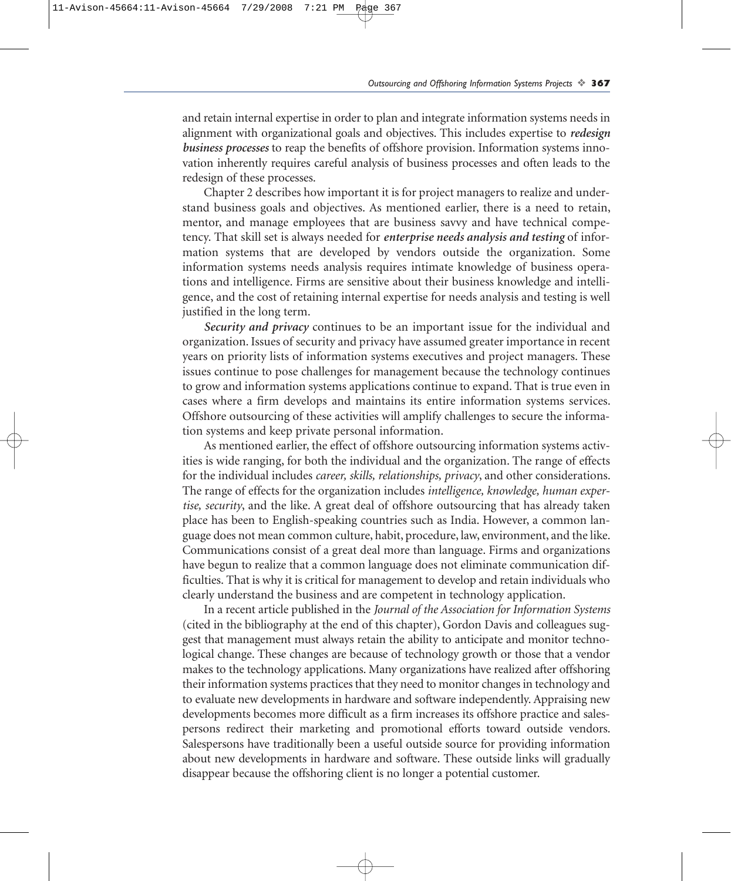and retain internal expertise in order to plan and integrate information systems needs in alignment with organizational goals and objectives. This includes expertise to *redesign business processes* to reap the benefits of offshore provision. Information systems innovation inherently requires careful analysis of business processes and often leads to the redesign of these processes.

11-Avison-45664:11-Avison-45664 7/29

Chapter 2 describes how important it is for project managers to realize and understand business goals and objectives. As mentioned earlier, there is a need to retain, mentor, and manage employees that are business savvy and have technical competency. That skill set is always needed for *enterprise needs analysis and testing* of information systems that are developed by vendors outside the organization. Some information systems needs analysis requires intimate knowledge of business operations and intelligence. Firms are sensitive about their business knowledge and intelligence, and the cost of retaining internal expertise for needs analysis and testing is well justified in the long term.

*Security and privacy* continues to be an important issue for the individual and organization. Issues of security and privacy have assumed greater importance in recent years on priority lists of information systems executives and project managers. These issues continue to pose challenges for management because the technology continues to grow and information systems applications continue to expand. That is true even in cases where a firm develops and maintains its entire information systems services. Offshore outsourcing of these activities will amplify challenges to secure the information systems and keep private personal information.

As mentioned earlier, the effect of offshore outsourcing information systems activities is wide ranging, for both the individual and the organization. The range of effects for the individual includes *career, skills, relationships, privacy*, and other considerations. The range of effects for the organization includes *intelligence, knowledge, human expertise, security*, and the like. A great deal of offshore outsourcing that has already taken place has been to English-speaking countries such as India. However, a common language does not mean common culture, habit, procedure, law, environment, and the like. Communications consist of a great deal more than language. Firms and organizations have begun to realize that a common language does not eliminate communication difficulties. That is why it is critical for management to develop and retain individuals who clearly understand the business and are competent in technology application.

In a recent article published in the *Journal of the Association for Information Systems* (cited in the bibliography at the end of this chapter), Gordon Davis and colleagues suggest that management must always retain the ability to anticipate and monitor technological change. These changes are because of technology growth or those that a vendor makes to the technology applications. Many organizations have realized after offshoring their information systems practices that they need to monitor changes in technology and to evaluate new developments in hardware and software independently. Appraising new developments becomes more difficult as a firm increases its offshore practice and salespersons redirect their marketing and promotional efforts toward outside vendors. Salespersons have traditionally been a useful outside source for providing information about new developments in hardware and software. These outside links will gradually disappear because the offshoring client is no longer a potential customer.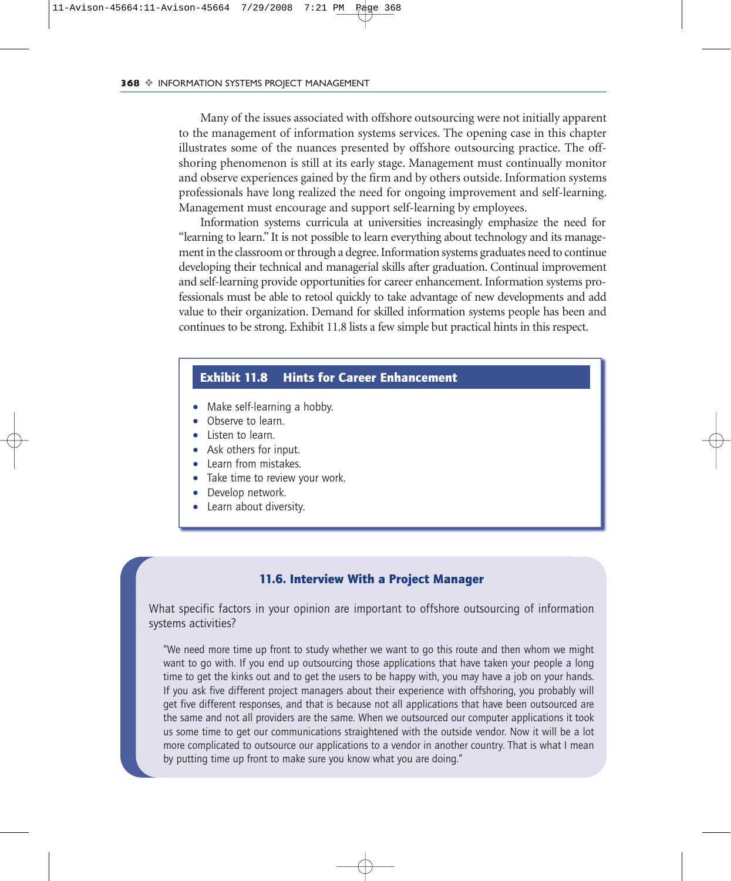Many of the issues associated with offshore outsourcing were not initially apparent to the management of information systems services. The opening case in this chapter illustrates some of the nuances presented by offshore outsourcing practice. The offshoring phenomenon is still at its early stage. Management must continually monitor and observe experiences gained by the firm and by others outside. Information systems professionals have long realized the need for ongoing improvement and self-learning. Management must encourage and support self-learning by employees.

Information systems curricula at universities increasingly emphasize the need for "learning to learn." It is not possible to learn everything about technology and its management in the classroom or through a degree. Information systems graduates need to continue developing their technical and managerial skills after graduation. Continual improvement and self-learning provide opportunities for career enhancement. Information systems professionals must be able to retool quickly to take advantage of new developments and add value to their organization. Demand for skilled information systems people has been and continues to be strong. Exhibit 11.8 lists a few simple but practical hints in this respect.

# **Exhibit 11.8 Hints for Career Enhancement**

- Make self-learning a hobby.
- Observe to learn.
- Listen to learn.
- Ask others for input.
- Learn from mistakes.
- Take time to review your work.
- Develop network.
- Learn about diversity.

# **11.6. Interview With a Project Manager**

What specific factors in your opinion are important to offshore outsourcing of information systems activities?

"We need more time up front to study whether we want to go this route and then whom we might want to go with. If you end up outsourcing those applications that have taken your people a long time to get the kinks out and to get the users to be happy with, you may have a job on your hands. If you ask five different project managers about their experience with offshoring, you probably will get five different responses, and that is because not all applications that have been outsourced are the same and not all providers are the same. When we outsourced our computer applications it took us some time to get our communications straightened with the outside vendor. Now it will be a lot more complicated to outsource our applications to a vendor in another country. That is what I mean by putting time up front to make sure you know what you are doing."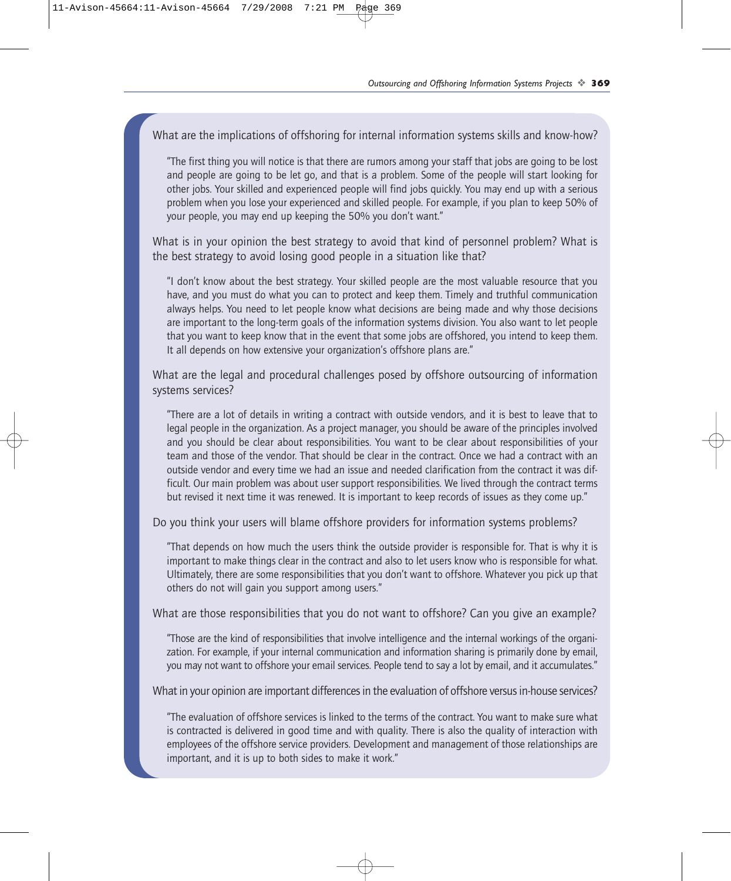11-Avison-45664:11-Avison-45664 7/29/2008 7:21 PM

What are the implications of offshoring for internal information systems skills and know-how?

"The first thing you will notice is that there are rumors among your staff that jobs are going to be lost and people are going to be let go, and that is a problem. Some of the people will start looking for other jobs. Your skilled and experienced people will find jobs quickly. You may end up with a serious problem when you lose your experienced and skilled people. For example, if you plan to keep 50% of your people, you may end up keeping the 50% you don't want."

What is in your opinion the best strategy to avoid that kind of personnel problem? What is the best strategy to avoid losing good people in a situation like that?

"I don't know about the best strategy. Your skilled people are the most valuable resource that you have, and you must do what you can to protect and keep them. Timely and truthful communication always helps. You need to let people know what decisions are being made and why those decisions are important to the long-term goals of the information systems division. You also want to let people that you want to keep know that in the event that some jobs are offshored, you intend to keep them. It all depends on how extensive your organization's offshore plans are."

What are the legal and procedural challenges posed by offshore outsourcing of information systems services?

"There are a lot of details in writing a contract with outside vendors, and it is best to leave that to legal people in the organization. As a project manager, you should be aware of the principles involved and you should be clear about responsibilities. You want to be clear about responsibilities of your team and those of the vendor. That should be clear in the contract. Once we had a contract with an outside vendor and every time we had an issue and needed clarification from the contract it was difficult. Our main problem was about user support responsibilities. We lived through the contract terms but revised it next time it was renewed. It is important to keep records of issues as they come up."

Do you think your users will blame offshore providers for information systems problems?

"That depends on how much the users think the outside provider is responsible for. That is why it is important to make things clear in the contract and also to let users know who is responsible for what. Ultimately, there are some responsibilities that you don't want to offshore. Whatever you pick up that others do not will gain you support among users."

What are those responsibilities that you do not want to offshore? Can you give an example?

"Those are the kind of responsibilities that involve intelligence and the internal workings of the organization. For example, if your internal communication and information sharing is primarily done by email, you may not want to offshore your email services. People tend to say a lot by email, and it accumulates."

What in your opinion are important differences in the evaluation of offshore versus in-house services?

"The evaluation of offshore services is linked to the terms of the contract. You want to make sure what is contracted is delivered in good time and with quality. There is also the quality of interaction with employees of the offshore service providers. Development and management of those relationships are important, and it is up to both sides to make it work."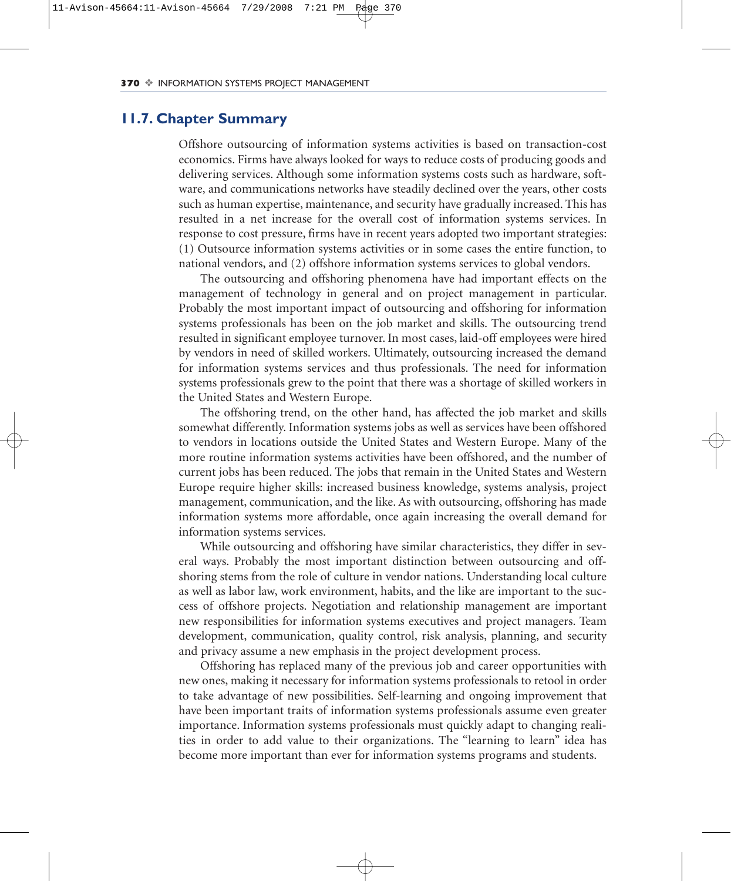# **11.7. Chapter Summary**

Offshore outsourcing of information systems activities is based on transaction-cost economics. Firms have always looked for ways to reduce costs of producing goods and delivering services. Although some information systems costs such as hardware, software, and communications networks have steadily declined over the years, other costs such as human expertise, maintenance, and security have gradually increased. This has resulted in a net increase for the overall cost of information systems services. In response to cost pressure, firms have in recent years adopted two important strategies: (1) Outsource information systems activities or in some cases the entire function, to national vendors, and (2) offshore information systems services to global vendors.

The outsourcing and offshoring phenomena have had important effects on the management of technology in general and on project management in particular. Probably the most important impact of outsourcing and offshoring for information systems professionals has been on the job market and skills. The outsourcing trend resulted in significant employee turnover. In most cases, laid-off employees were hired by vendors in need of skilled workers. Ultimately, outsourcing increased the demand for information systems services and thus professionals. The need for information systems professionals grew to the point that there was a shortage of skilled workers in the United States and Western Europe.

The offshoring trend, on the other hand, has affected the job market and skills somewhat differently. Information systems jobs as well as services have been offshored to vendors in locations outside the United States and Western Europe. Many of the more routine information systems activities have been offshored, and the number of current jobs has been reduced. The jobs that remain in the United States and Western Europe require higher skills: increased business knowledge, systems analysis, project management, communication, and the like. As with outsourcing, offshoring has made information systems more affordable, once again increasing the overall demand for information systems services.

While outsourcing and offshoring have similar characteristics, they differ in several ways. Probably the most important distinction between outsourcing and offshoring stems from the role of culture in vendor nations. Understanding local culture as well as labor law, work environment, habits, and the like are important to the success of offshore projects. Negotiation and relationship management are important new responsibilities for information systems executives and project managers. Team development, communication, quality control, risk analysis, planning, and security and privacy assume a new emphasis in the project development process.

Offshoring has replaced many of the previous job and career opportunities with new ones, making it necessary for information systems professionals to retool in order to take advantage of new possibilities. Self-learning and ongoing improvement that have been important traits of information systems professionals assume even greater importance. Information systems professionals must quickly adapt to changing realities in order to add value to their organizations. The "learning to learn" idea has become more important than ever for information systems programs and students.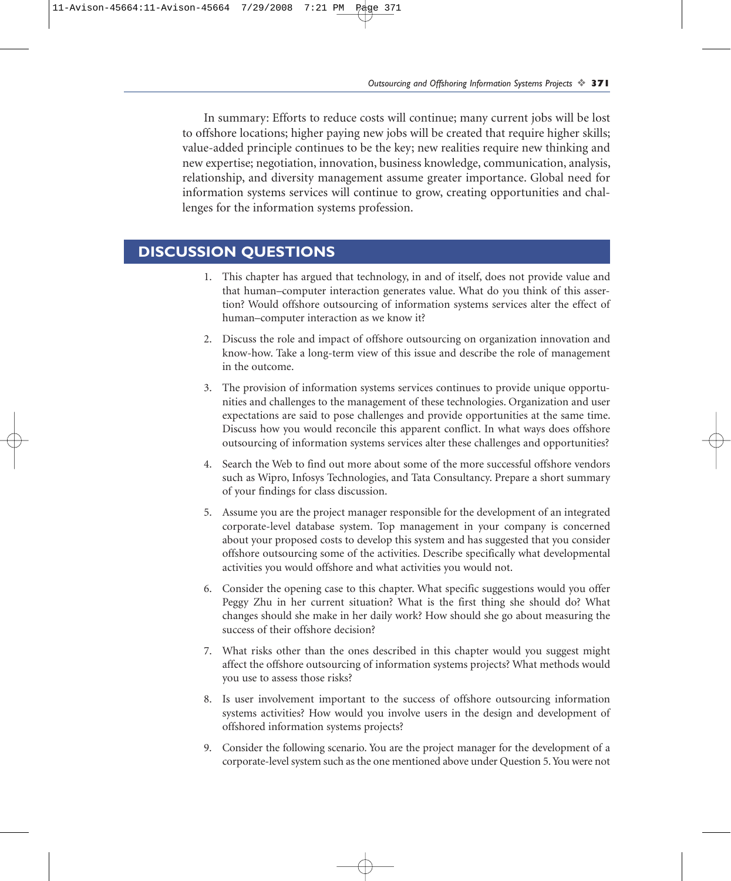In summary: Efforts to reduce costs will continue; many current jobs will be lost to offshore locations; higher paying new jobs will be created that require higher skills; value-added principle continues to be the key; new realities require new thinking and new expertise; negotiation, innovation, business knowledge, communication, analysis, relationship, and diversity management assume greater importance. Global need for information systems services will continue to grow, creating opportunities and challenges for the information systems profession.

# **DISCUSSION QUESTIONS**

- 1. This chapter has argued that technology, in and of itself, does not provide value and that human–computer interaction generates value. What do you think of this assertion? Would offshore outsourcing of information systems services alter the effect of human–computer interaction as we know it?
- 2. Discuss the role and impact of offshore outsourcing on organization innovation and know-how. Take a long-term view of this issue and describe the role of management in the outcome.
- 3. The provision of information systems services continues to provide unique opportunities and challenges to the management of these technologies. Organization and user expectations are said to pose challenges and provide opportunities at the same time. Discuss how you would reconcile this apparent conflict. In what ways does offshore outsourcing of information systems services alter these challenges and opportunities?
- 4. Search the Web to find out more about some of the more successful offshore vendors such as Wipro, Infosys Technologies, and Tata Consultancy. Prepare a short summary of your findings for class discussion.
- 5. Assume you are the project manager responsible for the development of an integrated corporate-level database system. Top management in your company is concerned about your proposed costs to develop this system and has suggested that you consider offshore outsourcing some of the activities. Describe specifically what developmental activities you would offshore and what activities you would not.
- 6. Consider the opening case to this chapter. What specific suggestions would you offer Peggy Zhu in her current situation? What is the first thing she should do? What changes should she make in her daily work? How should she go about measuring the success of their offshore decision?
- 7. What risks other than the ones described in this chapter would you suggest might affect the offshore outsourcing of information systems projects? What methods would you use to assess those risks?
- 8. Is user involvement important to the success of offshore outsourcing information systems activities? How would you involve users in the design and development of offshored information systems projects?
- 9. Consider the following scenario. You are the project manager for the development of a corporate-level system such as the one mentioned above under Question 5. You were not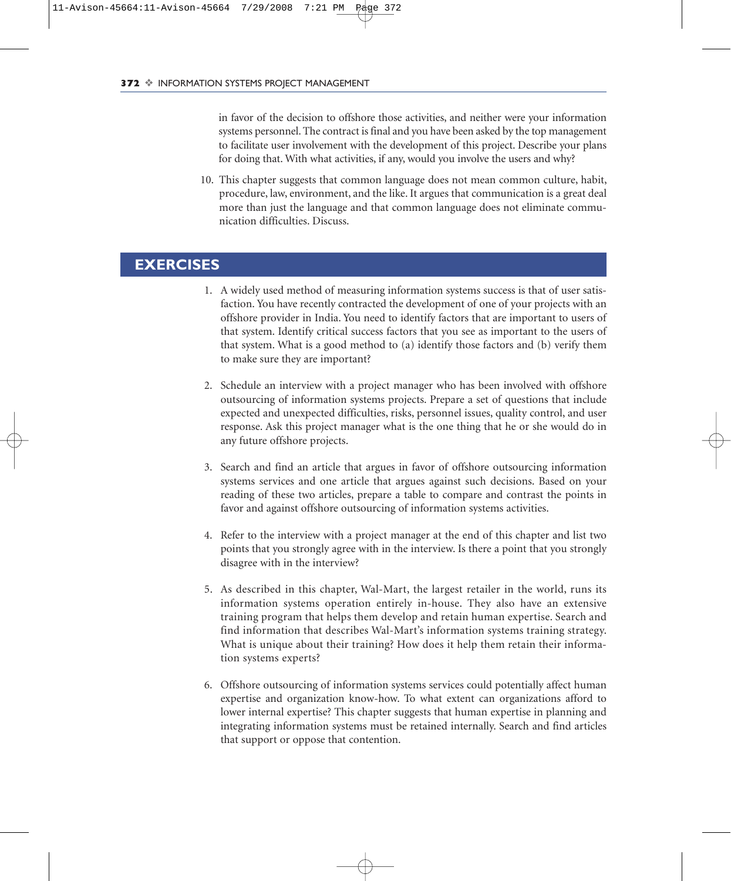in favor of the decision to offshore those activities, and neither were your information systems personnel. The contract is final and you have been asked by the top management to facilitate user involvement with the development of this project. Describe your plans for doing that. With what activities, if any, would you involve the users and why?

10. This chapter suggests that common language does not mean common culture, habit, procedure, law, environment, and the like. It argues that communication is a great deal more than just the language and that common language does not eliminate communication difficulties. Discuss.

# **EXERCISES**

- 1. A widely used method of measuring information systems success is that of user satisfaction. You have recently contracted the development of one of your projects with an offshore provider in India. You need to identify factors that are important to users of that system. Identify critical success factors that you see as important to the users of that system. What is a good method to (a) identify those factors and (b) verify them to make sure they are important?
- 2. Schedule an interview with a project manager who has been involved with offshore outsourcing of information systems projects. Prepare a set of questions that include expected and unexpected difficulties, risks, personnel issues, quality control, and user response. Ask this project manager what is the one thing that he or she would do in any future offshore projects.
- 3. Search and find an article that argues in favor of offshore outsourcing information systems services and one article that argues against such decisions. Based on your reading of these two articles, prepare a table to compare and contrast the points in favor and against offshore outsourcing of information systems activities.
- 4. Refer to the interview with a project manager at the end of this chapter and list two points that you strongly agree with in the interview. Is there a point that you strongly disagree with in the interview?
- 5. As described in this chapter, Wal-Mart, the largest retailer in the world, runs its information systems operation entirely in-house. They also have an extensive training program that helps them develop and retain human expertise. Search and find information that describes Wal-Mart's information systems training strategy. What is unique about their training? How does it help them retain their information systems experts?
- 6. Offshore outsourcing of information systems services could potentially affect human expertise and organization know-how. To what extent can organizations afford to lower internal expertise? This chapter suggests that human expertise in planning and integrating information systems must be retained internally. Search and find articles that support or oppose that contention.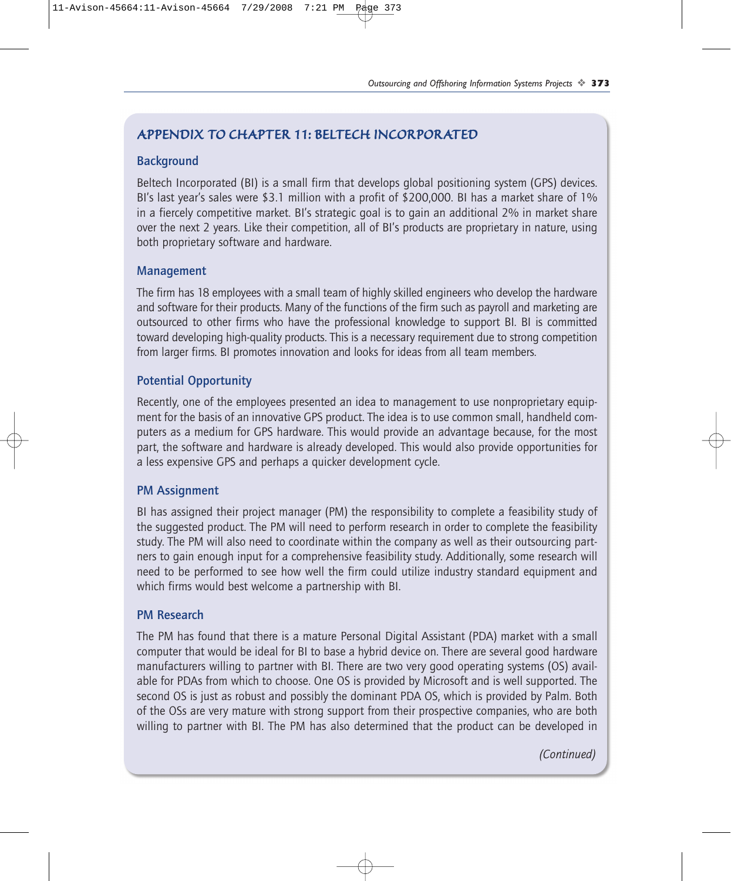# APPENDIX TO CHAPTER 11: BELTECH INCORPORATED

## **Background**

11-Avison-45664:11-Avison-45664 7/29/2008 7:21 PM

Beltech Incorporated (BI) is a small firm that develops global positioning system (GPS) devices. BI's last year's sales were \$3.1 million with a profit of \$200,000. BI has a market share of 1% in a fiercely competitive market. BI's strategic goal is to gain an additional 2% in market share over the next 2 years. Like their competition, all of BI's products are proprietary in nature, using both proprietary software and hardware.

## Management

The firm has 18 employees with a small team of highly skilled engineers who develop the hardware and software for their products. Many of the functions of the firm such as payroll and marketing are outsourced to other firms who have the professional knowledge to support BI. BI is committed toward developing high-quality products. This is a necessary requirement due to strong competition from larger firms. BI promotes innovation and looks for ideas from all team members.

### Potential Opportunity

Recently, one of the employees presented an idea to management to use nonproprietary equipment for the basis of an innovative GPS product. The idea is to use common small, handheld computers as a medium for GPS hardware. This would provide an advantage because, for the most part, the software and hardware is already developed. This would also provide opportunities for a less expensive GPS and perhaps a quicker development cycle.

## PM Assignment

BI has assigned their project manager (PM) the responsibility to complete a feasibility study of the suggested product. The PM will need to perform research in order to complete the feasibility study. The PM will also need to coordinate within the company as well as their outsourcing partners to gain enough input for a comprehensive feasibility study. Additionally, some research will need to be performed to see how well the firm could utilize industry standard equipment and which firms would best welcome a partnership with BI.

## PM Research

The PM has found that there is a mature Personal Digital Assistant (PDA) market with a small computer that would be ideal for BI to base a hybrid device on. There are several good hardware manufacturers willing to partner with BI. There are two very good operating systems (OS) available for PDAs from which to choose. One OS is provided by Microsoft and is well supported. The second OS is just as robust and possibly the dominant PDA OS, which is provided by Palm. Both of the OSs are very mature with strong support from their prospective companies, who are both willing to partner with BI. The PM has also determined that the product can be developed in

*(Continued)*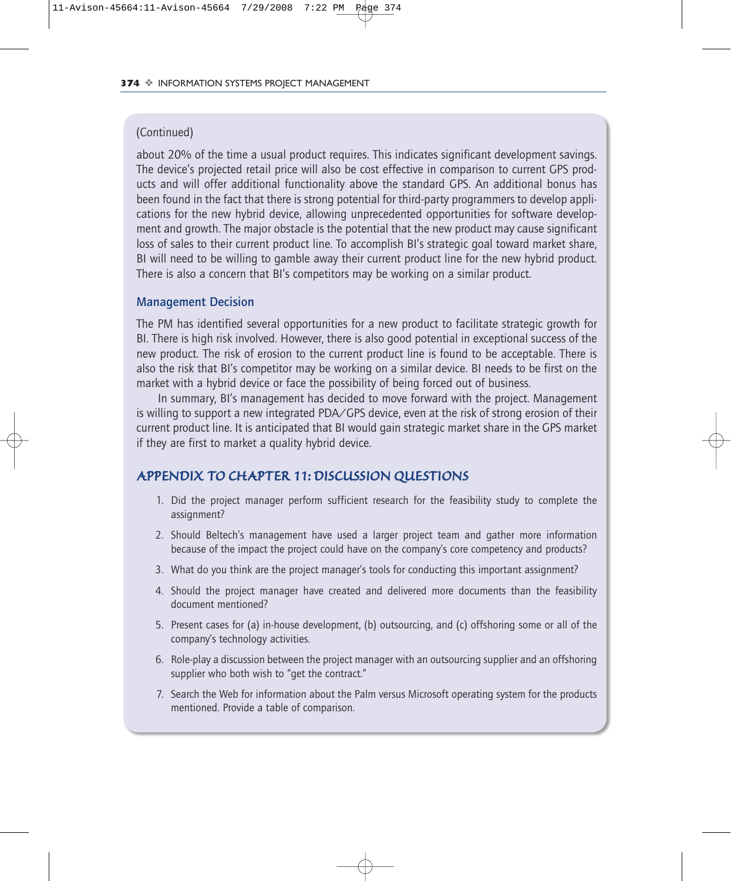# (Continued)

about 20% of the time a usual product requires. This indicates significant development savings. The device's projected retail price will also be cost effective in comparison to current GPS products and will offer additional functionality above the standard GPS. An additional bonus has been found in the fact that there is strong potential for third-party programmers to develop applications for the new hybrid device, allowing unprecedented opportunities for software development and growth. The major obstacle is the potential that the new product may cause significant loss of sales to their current product line. To accomplish BI's strategic goal toward market share, BI will need to be willing to gamble away their current product line for the new hybrid product. There is also a concern that BI's competitors may be working on a similar product.

## Management Decision

The PM has identified several opportunities for a new product to facilitate strategic growth for BI. There is high risk involved. However, there is also good potential in exceptional success of the new product. The risk of erosion to the current product line is found to be acceptable. There is also the risk that BI's competitor may be working on a similar device. BI needs to be first on the market with a hybrid device or face the possibility of being forced out of business.

In summary, BI's management has decided to move forward with the project. Management is willing to support a new integrated PDA/GPS device, even at the risk of strong erosion of their current product line. It is anticipated that BI would gain strategic market share in the GPS market if they are first to market a quality hybrid device.

# APPENDIX TO CHAPTER 11: DISCUSSION QUESTIONS

- 1. Did the project manager perform sufficient research for the feasibility study to complete the assignment?
- 2. Should Beltech's management have used a larger project team and gather more information because of the impact the project could have on the company's core competency and products?
- 3. What do you think are the project manager's tools for conducting this important assignment?
- 4. Should the project manager have created and delivered more documents than the feasibility document mentioned?
- 5. Present cases for (a) in-house development, (b) outsourcing, and (c) offshoring some or all of the company's technology activities.
- 6. Role-play a discussion between the project manager with an outsourcing supplier and an offshoring supplier who both wish to "get the contract."
- 7. Search the Web for information about the Palm versus Microsoft operating system for the products mentioned. Provide a table of comparison.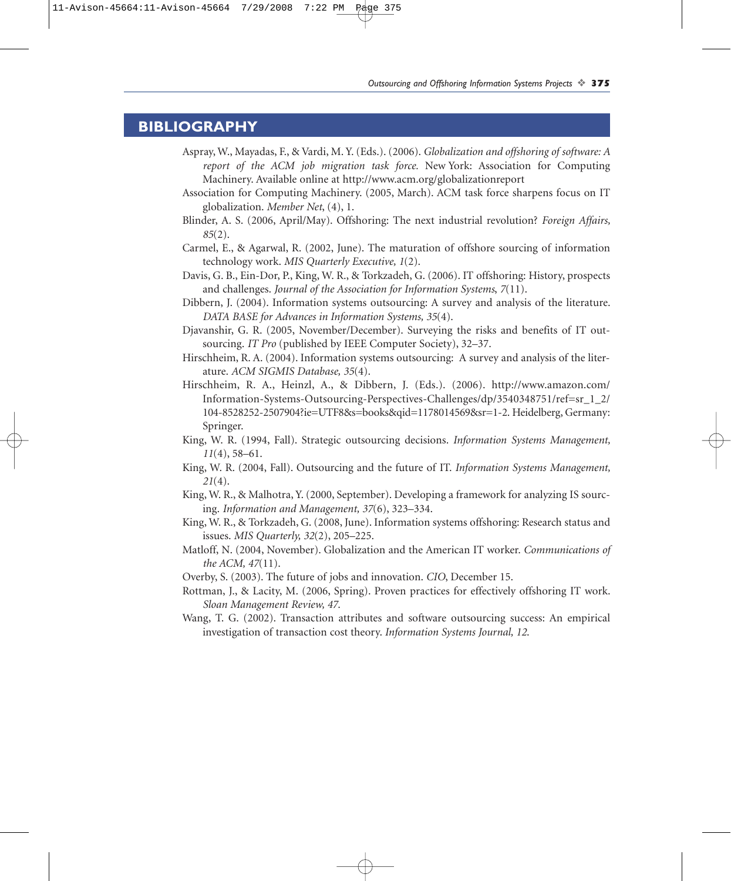# **BIBLIOGRAPHY**

- Aspray, W., Mayadas, F., & Vardi, M. Y. (Eds.). (2006). *Globalization and offshoring of software: A report of the ACM job migration task force.* New York: Association for Computing Machinery. Available online at http://www.acm.org/globalizationreport
- Association for Computing Machinery. (2005, March). ACM task force sharpens focus on IT globalization. *Member Net*, (4), 1.
- Blinder, A. S. (2006, April/May). Offshoring: The next industrial revolution? *Foreign Affairs, 85*(2).
- Carmel, E., & Agarwal, R. (2002, June). The maturation of offshore sourcing of information technology work. *MIS Quarterly Executive, 1*(2).
- Davis, G. B., Ein-Dor, P., King, W. R., & Torkzadeh, G. (2006). IT offshoring: History, prospects and challenges. *Journal of the Association for Information Systems*, *7*(11).
- Dibbern, J. (2004). Information systems outsourcing: A survey and analysis of the literature. *DATA BASE for Advances in Information Systems, 35*(4).
- Djavanshir, G. R. (2005, November/December). Surveying the risks and benefits of IT outsourcing. *IT Pro* (published by IEEE Computer Society), 32–37.
- Hirschheim, R. A. (2004). Information systems outsourcing: A survey and analysis of the literature. *ACM SIGMIS Database, 35*(4).
- Hirschheim, R. A., Heinzl, A., & Dibbern, J. (Eds.). (2006). http://www.amazon.com/ Information-Systems-Outsourcing-Perspectives-Challenges/dp/3540348751/ref=sr\_1\_2/ 104-8528252-2507904?ie=UTF8&s=books&qid=1178014569&sr=1-2. Heidelberg, Germany: Springer.
- King, W. R. (1994, Fall). Strategic outsourcing decisions. *Information Systems Management, 11*(4), 58–61.
- King, W. R. (2004, Fall). Outsourcing and the future of IT. *Information Systems Management, 21*(4).
- King, W. R., & Malhotra, Y. (2000, September). Developing a framework for analyzing IS sourcing. *Information and Management, 37*(6), 323–334.
- King, W. R., & Torkzadeh, G. (2008, June). Information systems offshoring: Research status and issues. *MIS Quarterly, 32*(2), 205–225.
- Matloff, N. (2004, November). Globalization and the American IT worker. *Communications of the ACM, 47*(11).
- Overby, S. (2003). The future of jobs and innovation. *CIO*, December 15.
- Rottman, J., & Lacity, M. (2006, Spring). Proven practices for effectively offshoring IT work. *Sloan Management Review, 47*.
- Wang, T. G. (2002). Transaction attributes and software outsourcing success: An empirical investigation of transaction cost theory. *Information Systems Journal, 12*.